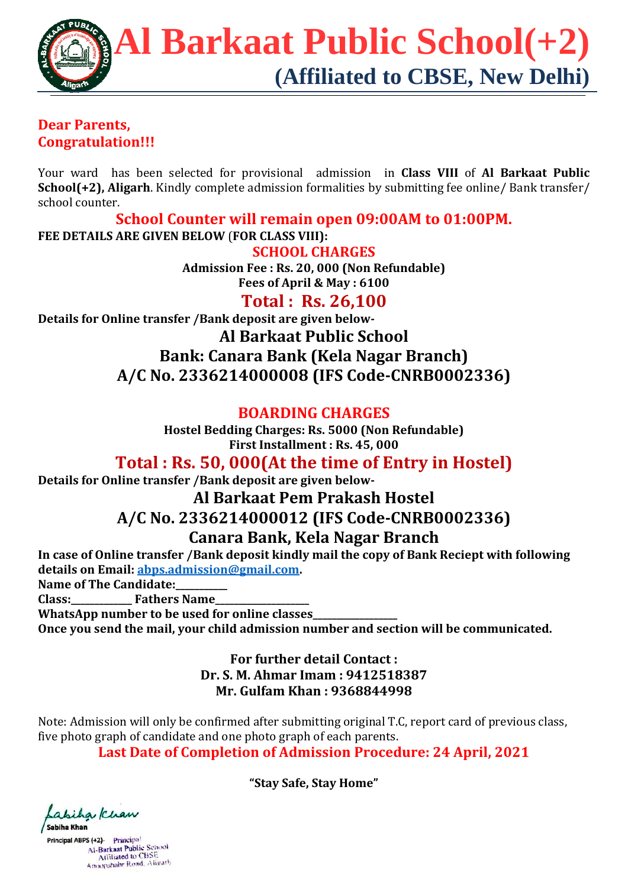

#### **Dear Parents, Congratulation!!!**

Your ward has been selected for provisional admission in **Class VIII** of Al Barkaat Public **School(+2), Aligarh**. Kindly complete admission formalities by submitting fee online/ Bank transfer/ school counter.

**School Counter will remain open 09:00AM to 01:00PM.**

**FEE DETAILS ARE GIVEN BELOW** (**FOR CLASS VIII): SCHOOL CHARGES**

> **Admission Fee : Rs. 20, 000 (Non Refundable) Fees of April & May : 6100**

### **Total : Rs. 26,100**

**Details** for Online transfer /Bank deposit are given below-**Al Barkaat Public School Bank: Canara Bank (Kela Nagar Branch) A/C No. 2336214000008 (IFS Code‐CNRB0002336)**

#### **BOARDING CHARGES**

**Hostel Bedding Charges: Rs. 5000 (Non Refundable) First Installment : Rs. 45, 000**

**Total : Rs. 50, 000(At the time of Entry in Hostel)**

**Details** for Online transfer /Bank deposit are given below-

# **Al Barkaat Pem Prakash Hostel**

#### **A/C No. 2336214000012 (IFS Code‐CNRB0002336)**

#### **Canara Bank, Kela Nagar Branch**

**In case of Online transfer /Bank deposit kindly mail the copy of Bank Reciept with following details on Email: abps.admission@gmail.com. Name of The Candidate:\_\_\_\_\_\_\_\_\_\_\_**

**Class:\_\_\_\_\_\_\_\_\_\_\_\_\_ Fathers Name\_\_\_\_\_\_\_\_\_\_\_\_\_\_\_\_\_\_\_\_**

**WhatsApp number to be used for online classes\_\_\_\_\_\_\_\_\_\_\_\_\_\_\_\_\_\_**

**Once you send the mail, your child admission number and section will be communicated.**

**For further detail Contact : Dr. S. M. Ahmar Imam : 9412518387 Mr. Gulfam Khan : 9368844998**

Note: Admission will only be confirmed after submitting original T.C, report card of previous class, five photo graph of candidate and one photo graph of each parents.

**Last Date of Completion of Admission Procedure: 24 April, 2021**

**"Stay Safe, Stay Home"** 

abiha Khan Sabiha Khan

Principal ABPS (+2) Principa! Al-Barkaat Public School<br>Al-Barkaat Public School<br>Amoopshahr Road, Alivarh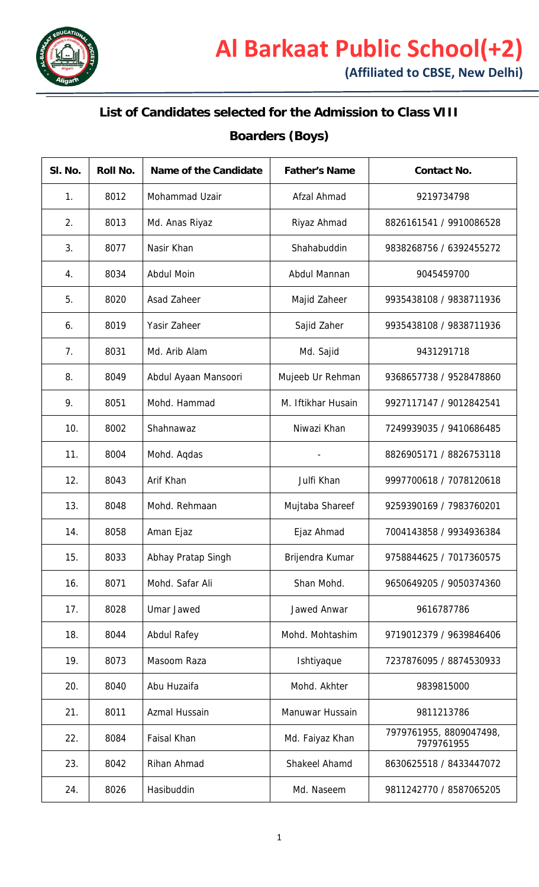

## **List of Candidates selected for the Admission to Class VIII**

# **Boarders (Boys)**

| SI. No. | Roll No. | Name of the Candidate | <b>Father's Name</b> | <b>Contact No.</b>                    |
|---------|----------|-----------------------|----------------------|---------------------------------------|
| 1.      | 8012     | Mohammad Uzair        | Afzal Ahmad          | 9219734798                            |
| 2.      | 8013     | Md. Anas Riyaz        | Riyaz Ahmad          | 8826161541 / 9910086528               |
| 3.      | 8077     | Nasir Khan            | Shahabuddin          | 9838268756 / 6392455272               |
| 4.      | 8034     | <b>Abdul Moin</b>     | Abdul Mannan         | 9045459700                            |
| 5.      | 8020     | Asad Zaheer           | Majid Zaheer         | 9935438108 / 9838711936               |
| 6.      | 8019     | Yasir Zaheer          | Sajid Zaher          | 9935438108 / 9838711936               |
| 7.      | 8031     | Md. Arib Alam         | Md. Sajid            | 9431291718                            |
| 8.      | 8049     | Abdul Ayaan Mansoori  | Mujeeb Ur Rehman     | 9368657738 / 9528478860               |
| 9.      | 8051     | Mohd. Hammad          | M. Iftikhar Husain   | 9927117147 / 9012842541               |
| 10.     | 8002     | Shahnawaz             | Niwazi Khan          | 7249939035 / 9410686485               |
| 11.     | 8004     | Mohd. Aqdas           |                      | 8826905171 / 8826753118               |
| 12.     | 8043     | Arif Khan             | Julfi Khan           | 9997700618 / 7078120618               |
| 13.     | 8048     | Mohd. Rehmaan         | Mujtaba Shareef      | 9259390169 / 7983760201               |
| 14.     | 8058     | Aman Ejaz             | Ejaz Ahmad           | 7004143858 / 9934936384               |
| 15.     | 8033     | Abhay Pratap Singh    | Brijendra Kumar      | 9758844625 / 7017360575               |
| 16.     | 8071     | Mohd. Safar Ali       | Shan Mohd.           | 9650649205 / 9050374360               |
| 17.     | 8028     | <b>Umar Jawed</b>     | Jawed Anwar          | 9616787786                            |
| 18.     | 8044     | <b>Abdul Rafey</b>    | Mohd. Mohtashim      | 9719012379 / 9639846406               |
| 19.     | 8073     | Masoom Raza           | Ishtiyaque           | 7237876095 / 8874530933               |
| 20.     | 8040     | Abu Huzaifa           | Mohd. Akhter         | 9839815000                            |
| 21.     | 8011     | Azmal Hussain         | Manuwar Hussain      | 9811213786                            |
| 22.     | 8084     | Faisal Khan           | Md. Faiyaz Khan      | 7979761955, 8809047498,<br>7979761955 |
| 23.     | 8042     | Rihan Ahmad           | Shakeel Ahamd        | 8630625518 / 8433447072               |
| 24.     | 8026     | Hasibuddin            | Md. Naseem           | 9811242770 / 8587065205               |